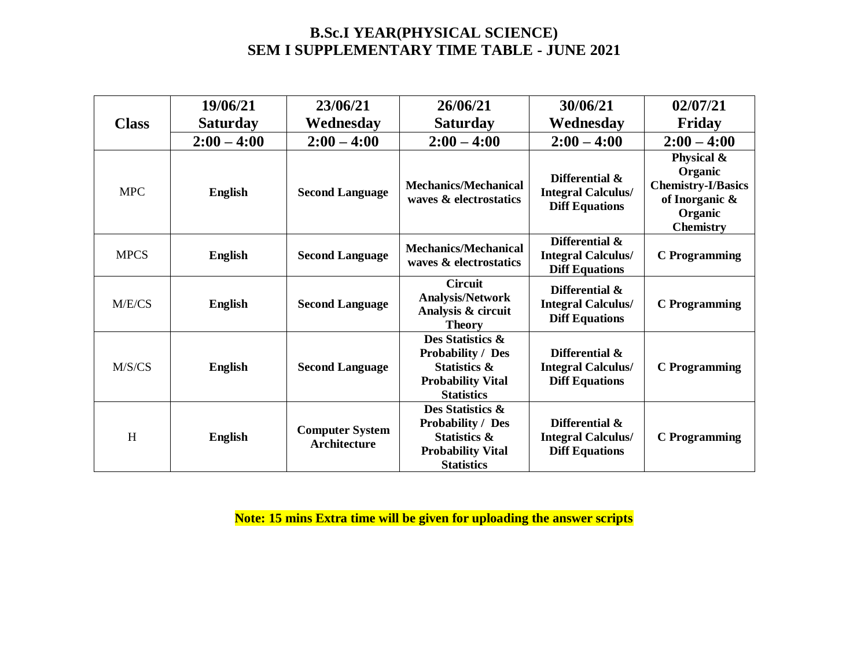# **B.Sc.I YEAR(PHYSICAL SCIENCE) SEM I SUPPLEMENTARY TIME TABLE - JUNE 2021**

| <b>Class</b> | 19/06/21<br><b>Saturday</b> | 23/06/21<br>Wednesday                         | 26/06/21<br><b>Saturday</b>                                                                                              | 30/06/21<br>Wednesday                                                | 02/07/21<br>Friday                                                                                  |
|--------------|-----------------------------|-----------------------------------------------|--------------------------------------------------------------------------------------------------------------------------|----------------------------------------------------------------------|-----------------------------------------------------------------------------------------------------|
|              | $2:00 - 4:00$               | $2:00 - 4:00$                                 | $2:00 - 4:00$                                                                                                            | $2:00 - 4:00$                                                        | $2:00 - 4:00$                                                                                       |
| <b>MPC</b>   | English                     | <b>Second Language</b>                        | <b>Mechanics/Mechanical</b><br>waves & electrostatics                                                                    | Differential &<br><b>Integral Calculus/</b><br><b>Diff Equations</b> | Physical &<br>Organic<br><b>Chemistry-I/Basics</b><br>of Inorganic &<br>Organic<br><b>Chemistry</b> |
| <b>MPCS</b>  | <b>English</b>              | <b>Second Language</b>                        | <b>Mechanics/Mechanical</b><br>waves & electrostatics                                                                    | Differential &<br><b>Integral Calculus/</b><br><b>Diff Equations</b> | <b>C</b> Programming                                                                                |
| M/E/CS       | <b>English</b>              | <b>Second Language</b>                        | <b>Circuit</b><br><b>Analysis/Network</b><br>Analysis & circuit<br><b>Theory</b>                                         | Differential &<br><b>Integral Calculus/</b><br><b>Diff Equations</b> | <b>C</b> Programming                                                                                |
| M/S/CS       | English                     | <b>Second Language</b>                        | Des Statistics &<br><b>Probability / Des</b><br><b>Statistics &amp;</b><br><b>Probability Vital</b><br><b>Statistics</b> | Differential &<br><b>Integral Calculus/</b><br><b>Diff Equations</b> | <b>C</b> Programming                                                                                |
| H            | <b>English</b>              | <b>Computer System</b><br><b>Architecture</b> | Des Statistics &<br><b>Probability / Des</b><br><b>Statistics &amp;</b><br><b>Probability Vital</b><br><b>Statistics</b> | Differential &<br><b>Integral Calculus/</b><br><b>Diff Equations</b> | <b>C</b> Programming                                                                                |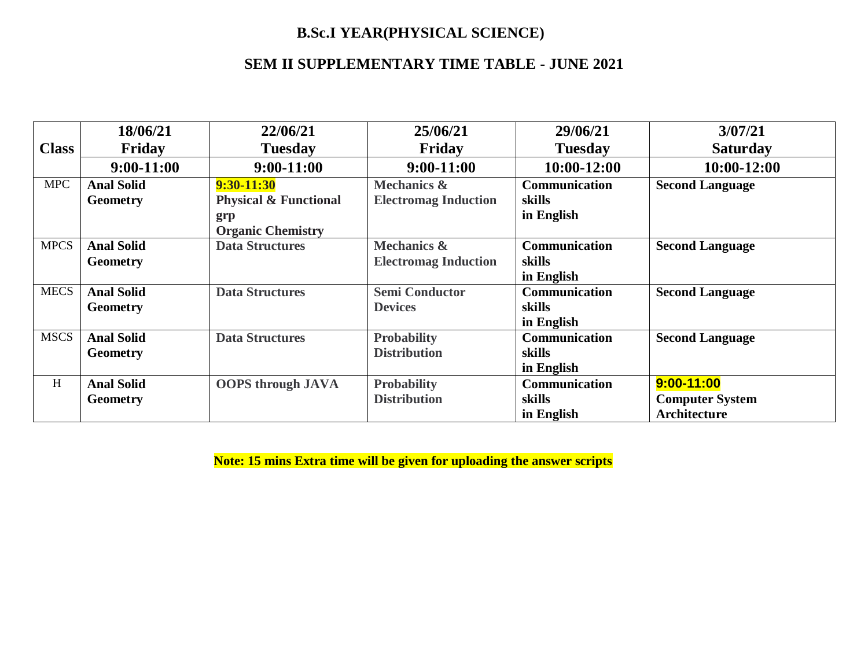# **B.Sc.I YEAR(PHYSICAL SCIENCE)**

# **SEM II SUPPLEMENTARY TIME TABLE - JUNE 2021**

|              | 18/06/21          | 22/06/21                         | 25/06/21                    | 29/06/21             | 3/07/21                |
|--------------|-------------------|----------------------------------|-----------------------------|----------------------|------------------------|
| <b>Class</b> | Friday            | <b>Tuesday</b>                   | Friday                      | <b>Tuesday</b>       | <b>Saturday</b>        |
|              | $9:00-11:00$      | $9:00-11:00$                     | $9:00-11:00$                | $10:00-12:00$        | 10:00-12:00            |
| <b>MPC</b>   | <b>Anal Solid</b> | $9:30-11:30$                     | <b>Mechanics &amp;</b>      | <b>Communication</b> | <b>Second Language</b> |
|              | <b>Geometry</b>   | <b>Physical &amp; Functional</b> | <b>Electromag Induction</b> | skills               |                        |
|              |                   | grp                              |                             | in English           |                        |
|              |                   | <b>Organic Chemistry</b>         |                             |                      |                        |
| <b>MPCS</b>  | <b>Anal Solid</b> | <b>Data Structures</b>           | <b>Mechanics &amp;</b>      | <b>Communication</b> | <b>Second Language</b> |
|              | <b>Geometry</b>   |                                  | <b>Electromag Induction</b> | skills               |                        |
|              |                   |                                  |                             | in English           |                        |
| <b>MECS</b>  | <b>Anal Solid</b> | <b>Data Structures</b>           | <b>Semi Conductor</b>       | Communication        | <b>Second Language</b> |
|              | <b>Geometry</b>   |                                  | <b>Devices</b>              | skills               |                        |
|              |                   |                                  |                             | in English           |                        |
| <b>MSCS</b>  | <b>Anal Solid</b> | <b>Data Structures</b>           | <b>Probability</b>          | <b>Communication</b> | <b>Second Language</b> |
|              | <b>Geometry</b>   |                                  | <b>Distribution</b>         | skills               |                        |
|              |                   |                                  |                             | in English           |                        |
| H            | <b>Anal Solid</b> | <b>OOPS</b> through JAVA         | <b>Probability</b>          | Communication        | 9:00-11:00             |
|              | <b>Geometry</b>   |                                  | <b>Distribution</b>         | skills               | <b>Computer System</b> |
|              |                   |                                  |                             | in English           | Architecture           |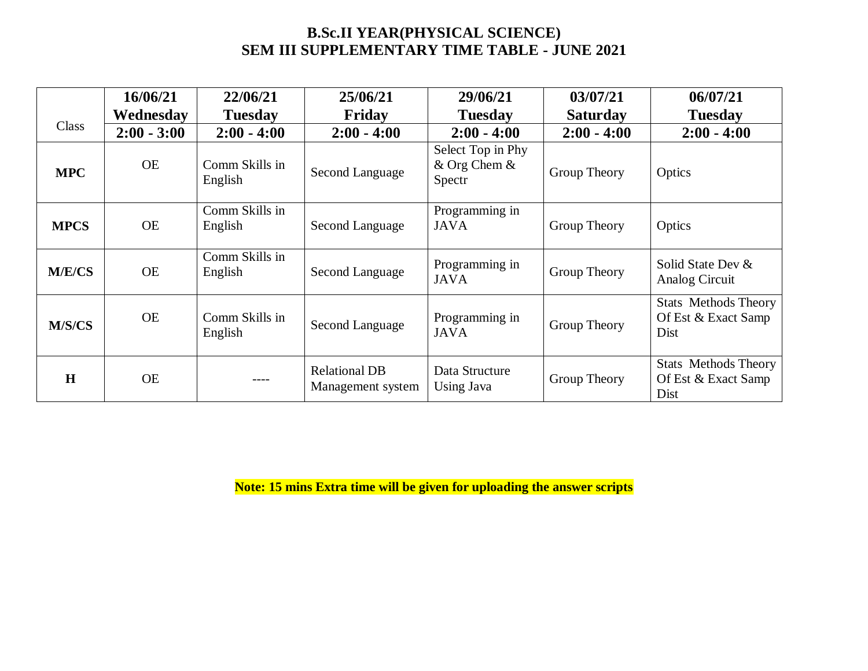# **B.Sc.II YEAR(PHYSICAL SCIENCE) SEM III SUPPLEMENTARY TIME TABLE - JUNE 2021**

|             | 16/06/21      | 22/06/21                  | 25/06/21                                  | 29/06/21                                    | 03/07/21        | 06/07/21                                                   |
|-------------|---------------|---------------------------|-------------------------------------------|---------------------------------------------|-----------------|------------------------------------------------------------|
|             | Wednesdav     | <b>Tuesday</b>            | Friday                                    | <b>Tuesday</b>                              | <b>Saturday</b> | <b>Tuesday</b>                                             |
| Class       | $2:00 - 3:00$ | $2:00 - 4:00$             | $2:00 - 4:00$                             | $2:00 - 4:00$                               | $2:00 - 4:00$   | $2:00 - 4:00$                                              |
| <b>MPC</b>  | <b>OE</b>     | Comm Skills in<br>English | Second Language                           | Select Top in Phy<br>& Org Chem &<br>Spectr | Group Theory    | Optics                                                     |
| <b>MPCS</b> | <b>OE</b>     | Comm Skills in<br>English | Second Language                           | Programming in<br><b>JAVA</b>               | Group Theory    | Optics                                                     |
| M/E/CS      | <b>OE</b>     | Comm Skills in<br>English | Second Language                           | Programming in<br><b>JAVA</b>               | Group Theory    | Solid State Dev &<br>Analog Circuit                        |
| M/S/CS      | <b>OE</b>     | Comm Skills in<br>English | Second Language                           | Programming in<br><b>JAVA</b>               | Group Theory    | <b>Stats Methods Theory</b><br>Of Est & Exact Samp<br>Dist |
| H           | <b>OE</b>     | $---$                     | <b>Relational DB</b><br>Management system | Data Structure<br>Using Java                | Group Theory    | <b>Stats Methods Theory</b><br>Of Est & Exact Samp<br>Dist |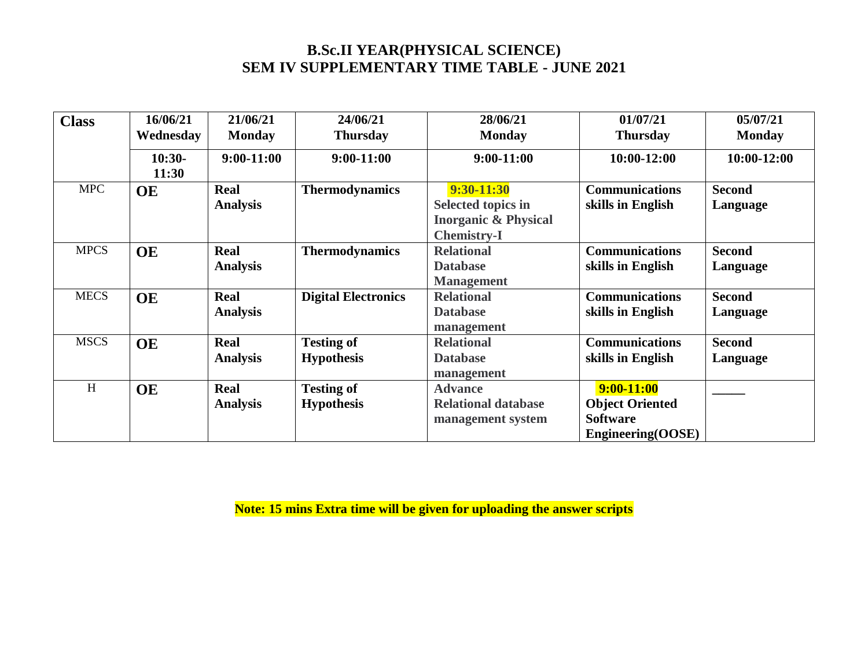## **B.Sc.II YEAR(PHYSICAL SCIENCE) SEM IV SUPPLEMENTARY TIME TABLE - JUNE 2021**

| <b>Class</b> | 16/06/21  | 21/06/21        | 24/06/21                   | 28/06/21                        | 01/07/21               | 05/07/21        |
|--------------|-----------|-----------------|----------------------------|---------------------------------|------------------------|-----------------|
|              | Wednesday | <b>Monday</b>   | <b>Thursday</b>            | <b>Monday</b>                   | <b>Thursday</b>        | <b>Monday</b>   |
|              | $10:30-$  | $9:00-11:00$    | $9:00-11:00$               | $9:00-11:00$                    | $10:00-12:00$          | $10:00 - 12:00$ |
|              | 11:30     |                 |                            |                                 |                        |                 |
| <b>MPC</b>   | <b>OE</b> | <b>Real</b>     | <b>Thermodynamics</b>      | 9:30-11:30                      | <b>Communications</b>  | <b>Second</b>   |
|              |           | <b>Analysis</b> |                            | <b>Selected topics in</b>       | skills in English      | Language        |
|              |           |                 |                            | <b>Inorganic &amp; Physical</b> |                        |                 |
|              |           |                 |                            | <b>Chemistry-I</b>              |                        |                 |
| <b>MPCS</b>  | <b>OE</b> | <b>Real</b>     | <b>Thermodynamics</b>      | <b>Relational</b>               | <b>Communications</b>  | <b>Second</b>   |
|              |           | <b>Analysis</b> |                            | <b>Database</b>                 | skills in English      | Language        |
|              |           |                 |                            | <b>Management</b>               |                        |                 |
| <b>MECS</b>  | <b>OE</b> | <b>Real</b>     | <b>Digital Electronics</b> | <b>Relational</b>               | <b>Communications</b>  | <b>Second</b>   |
|              |           | <b>Analysis</b> |                            | <b>Database</b>                 | skills in English      | Language        |
|              |           |                 |                            | management                      |                        |                 |
| <b>MSCS</b>  | <b>OE</b> | Real            | <b>Testing of</b>          | <b>Relational</b>               | <b>Communications</b>  | <b>Second</b>   |
|              |           | <b>Analysis</b> | <b>Hypothesis</b>          | <b>Database</b>                 | skills in English      | Language        |
|              |           |                 |                            | management                      |                        |                 |
| H            | <b>OE</b> | Real            | <b>Testing of</b>          | <b>Advance</b>                  | $9:00-11:00$           |                 |
|              |           | <b>Analysis</b> | <b>Hypothesis</b>          | <b>Relational database</b>      | <b>Object Oriented</b> |                 |
|              |           |                 |                            | management system               | <b>Software</b>        |                 |
|              |           |                 |                            |                                 | Engineering(OOSE)      |                 |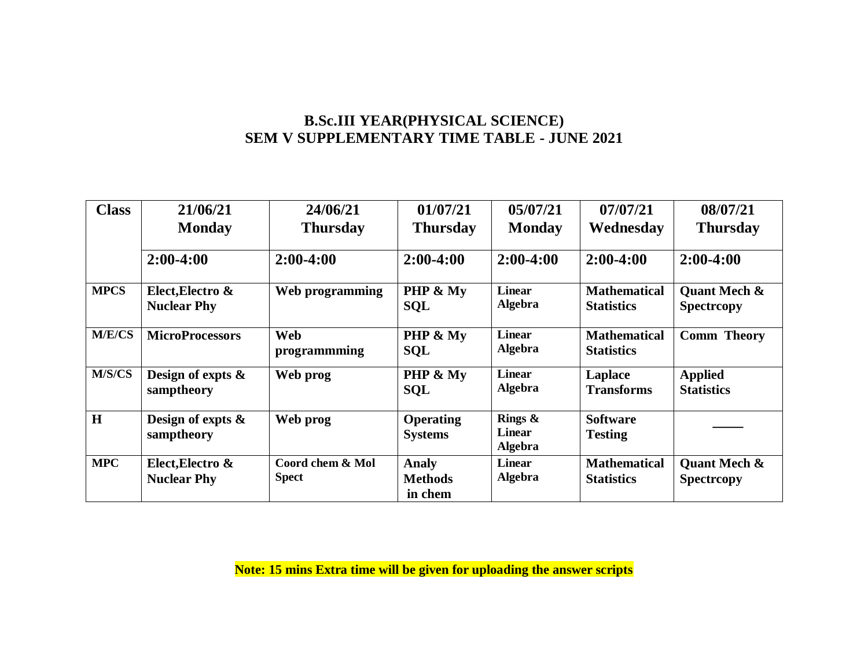### **B.Sc.III YEAR(PHYSICAL SCIENCE) SEM V SUPPLEMENTARY TIME TABLE - JUNE 2021**

| <b>Class</b>  | 21/06/21                               | 24/06/21                         | 01/07/21                                  | 05/07/21                                      | 07/07/21                                 | 08/07/21                                    |
|---------------|----------------------------------------|----------------------------------|-------------------------------------------|-----------------------------------------------|------------------------------------------|---------------------------------------------|
|               | <b>Monday</b>                          | <b>Thursday</b>                  | <b>Thursday</b>                           | <b>Monday</b>                                 | Wednesday                                | <b>Thursday</b>                             |
|               | $2:00-4:00$                            | $2:00-4:00$                      | $2:00-4:00$                               | $2:00-4:00$                                   | $2:00-4:00$                              | $2:00-4:00$                                 |
| <b>MPCS</b>   | Elect, Electro &<br><b>Nuclear Phy</b> | Web programming                  | PHP & My<br><b>SQL</b>                    | <b>Linear</b><br><b>Algebra</b>               | <b>Mathematical</b><br><b>Statistics</b> | <b>Quant Mech &amp;</b><br><b>Spectropy</b> |
| <b>M/E/CS</b> | <b>MicroProcessors</b>                 | Web<br>programmming              | PHP & My<br><b>SQL</b>                    | <b>Linear</b><br><b>Algebra</b>               | <b>Mathematical</b><br><b>Statistics</b> | <b>Comm Theory</b>                          |
| M/S/CS        | Design of expts $\&$<br>samptheory     | Web prog                         | PHP & My<br><b>SQL</b>                    | <b>Linear</b><br><b>Algebra</b>               | <b>Laplace</b><br><b>Transforms</b>      | <b>Applied</b><br><b>Statistics</b>         |
| H             | Design of expts $\&$<br>samptheory     | Web prog                         | <b>Operating</b><br><b>Systems</b>        | Rings $\&$<br><b>Linear</b><br><b>Algebra</b> | <b>Software</b><br><b>Testing</b>        |                                             |
| <b>MPC</b>    | Elect, Electro &<br><b>Nuclear Phy</b> | Coord chem & Mol<br><b>Spect</b> | <b>Analy</b><br><b>Methods</b><br>in chem | <b>Linear</b><br><b>Algebra</b>               | <b>Mathematical</b><br><b>Statistics</b> | <b>Quant Mech &amp;</b><br><b>Spectropy</b> |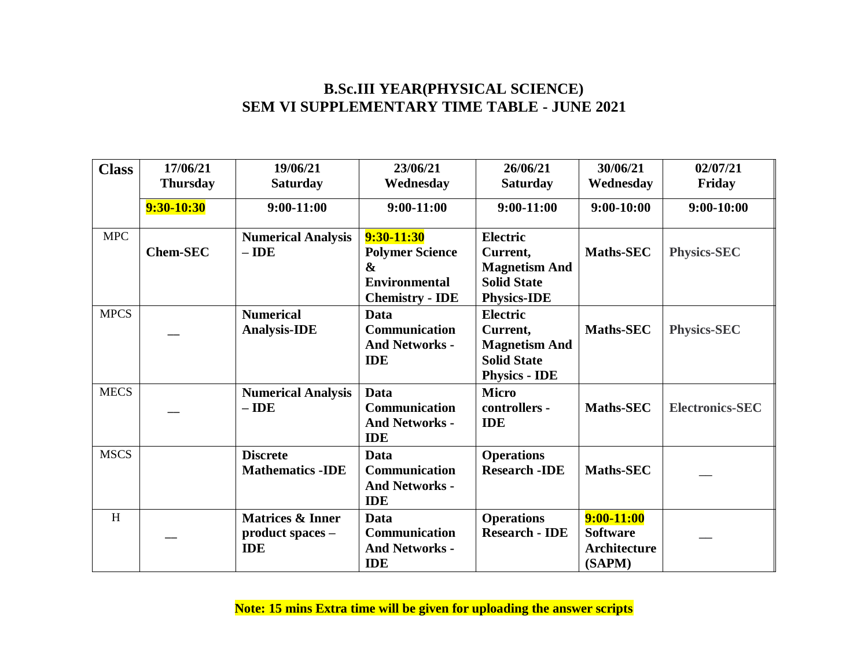#### **B.Sc.III YEAR(PHYSICAL SCIENCE) SEM VI SUPPLEMENTARY TIME TABLE - JUNE 2021**

| <b>Class</b> | 17/06/21<br><b>Thursday</b> | 19/06/21<br><b>Saturday</b>                                   | 23/06/21<br>Wednesday                                                                                         | 26/06/21<br><b>Saturday</b>                                                                       | 30/06/21<br>Wednesday                                     | 02/07/21<br>Friday     |
|--------------|-----------------------------|---------------------------------------------------------------|---------------------------------------------------------------------------------------------------------------|---------------------------------------------------------------------------------------------------|-----------------------------------------------------------|------------------------|
|              | 9:30-10:30                  | $9:00-11:00$                                                  | $9:00-11:00$                                                                                                  | $9:00-11:00$                                                                                      | $9:00-10:00$                                              | $9:00-10:00$           |
| <b>MPC</b>   | <b>Chem-SEC</b>             | <b>Numerical Analysis</b><br>$-$ IDE                          | $9:30-11:30$<br><b>Polymer Science</b><br>$\boldsymbol{\&}$<br><b>Environmental</b><br><b>Chemistry - IDE</b> | <b>Electric</b><br>Current,<br><b>Magnetism And</b><br><b>Solid State</b><br><b>Physics-IDE</b>   | Maths-SEC                                                 | <b>Physics-SEC</b>     |
| <b>MPCS</b>  |                             | <b>Numerical</b><br><b>Analysis-IDE</b>                       | <b>Data</b><br>Communication<br><b>And Networks -</b><br><b>IDE</b>                                           | <b>Electric</b><br>Current,<br><b>Magnetism And</b><br><b>Solid State</b><br><b>Physics - IDE</b> | <b>Maths-SEC</b>                                          | <b>Physics-SEC</b>     |
| <b>MECS</b>  |                             | <b>Numerical Analysis</b><br>$-$ IDE                          | <b>Data</b><br><b>Communication</b><br><b>And Networks -</b><br><b>IDE</b>                                    | <b>Micro</b><br>controllers -<br><b>IDE</b>                                                       | <b>Maths-SEC</b>                                          | <b>Electronics-SEC</b> |
| <b>MSCS</b>  |                             | <b>Discrete</b><br><b>Mathematics -IDE</b>                    | Data<br><b>Communication</b><br><b>And Networks -</b><br><b>IDE</b>                                           | <b>Operations</b><br><b>Research - IDE</b>                                                        | <b>Maths-SEC</b>                                          |                        |
| H            |                             | <b>Matrices &amp; Inner</b><br>product spaces -<br><b>IDE</b> | Data<br><b>Communication</b><br><b>And Networks -</b><br><b>IDE</b>                                           | <b>Operations</b><br><b>Research - IDE</b>                                                        | $9:00-11:00$<br><b>Software</b><br>Architecture<br>(SAPM) |                        |